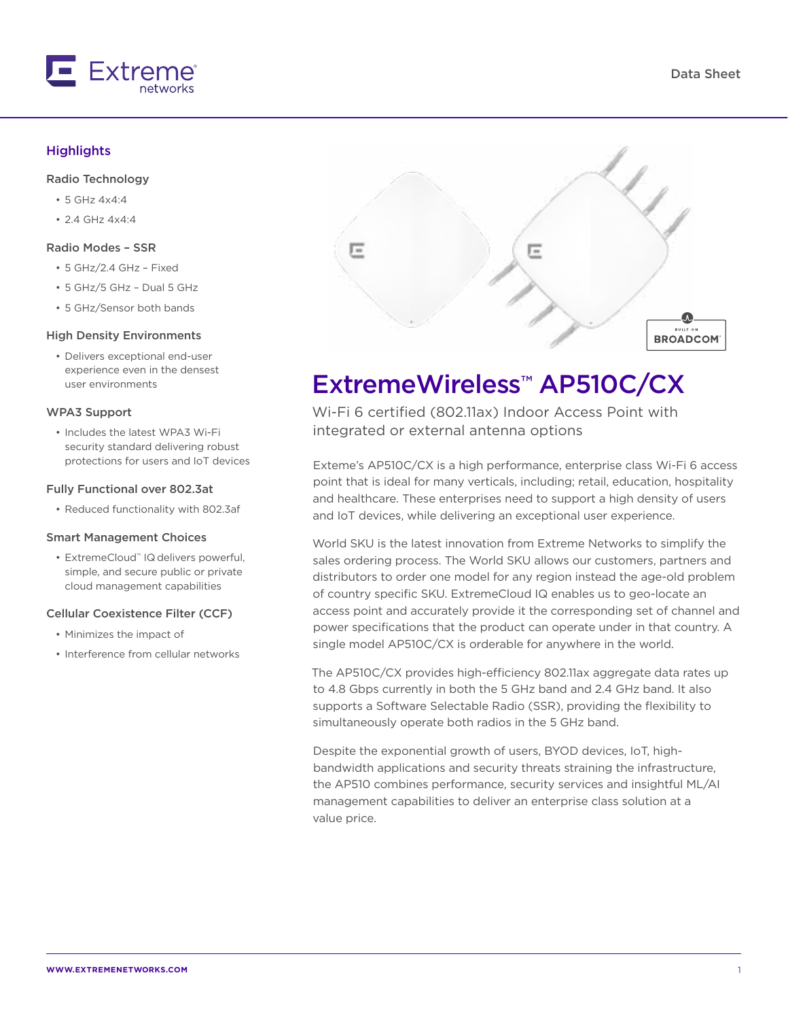

#### **Highlights**

#### Radio Technology

- 5 GHz 4x4:4
- 2.4 GHz 4x4:4

#### Radio Modes – SSR

- 5 GHz/2.4 GHz Fixed
- 5 GHz/5 GHz Dual 5 GHz
- 5 GHz/Sensor both bands

#### High Density Environments

• Delivers exceptional end-user experience even in the densest user environments

#### WPA3 Support

• Includes the latest WPA3 Wi-Fi security standard delivering robust protections for users and IoT devices

#### Fully Functional over 802.3at

• Reduced functionality with 802.3af

#### Smart Management Choices

• ExtremeCloud™ IQ delivers powerful, simple, and secure public or private cloud management capabilities

#### Cellular Coexistence Filter (CCF)

- Minimizes the impact of
- Interference from cellular networks



# ExtremeWireless™ AP510C/CX

Wi-Fi 6 certified (802.11ax) Indoor Access Point with integrated or external antenna options

Exteme's AP510C/CX is a high performance, enterprise class Wi-Fi 6 access point that is ideal for many verticals, including; retail, education, hospitality and healthcare. These enterprises need to support a high density of users and IoT devices, while delivering an exceptional user experience.

World SKU is the latest innovation from Extreme Networks to simplify the sales ordering process. The World SKU allows our customers, partners and distributors to order one model for any region instead the age-old problem of country specific SKU. ExtremeCloud IQ enables us to geo-locate an access point and accurately provide it the corresponding set of channel and power specifications that the product can operate under in that country. A single model AP510C/CX is orderable for anywhere in the world.

The AP510C/CX provides high-efficiency 802.11ax aggregate data rates up to 4.8 Gbps currently in both the 5 GHz band and 2.4 GHz band. It also supports a Software Selectable Radio (SSR), providing the flexibility to simultaneously operate both radios in the 5 GHz band.

Despite the exponential growth of users, BYOD devices, IoT, highbandwidth applications and security threats straining the infrastructure, the AP510 combines performance, security services and insightful ML/AI management capabilities to deliver an enterprise class solution at a value price.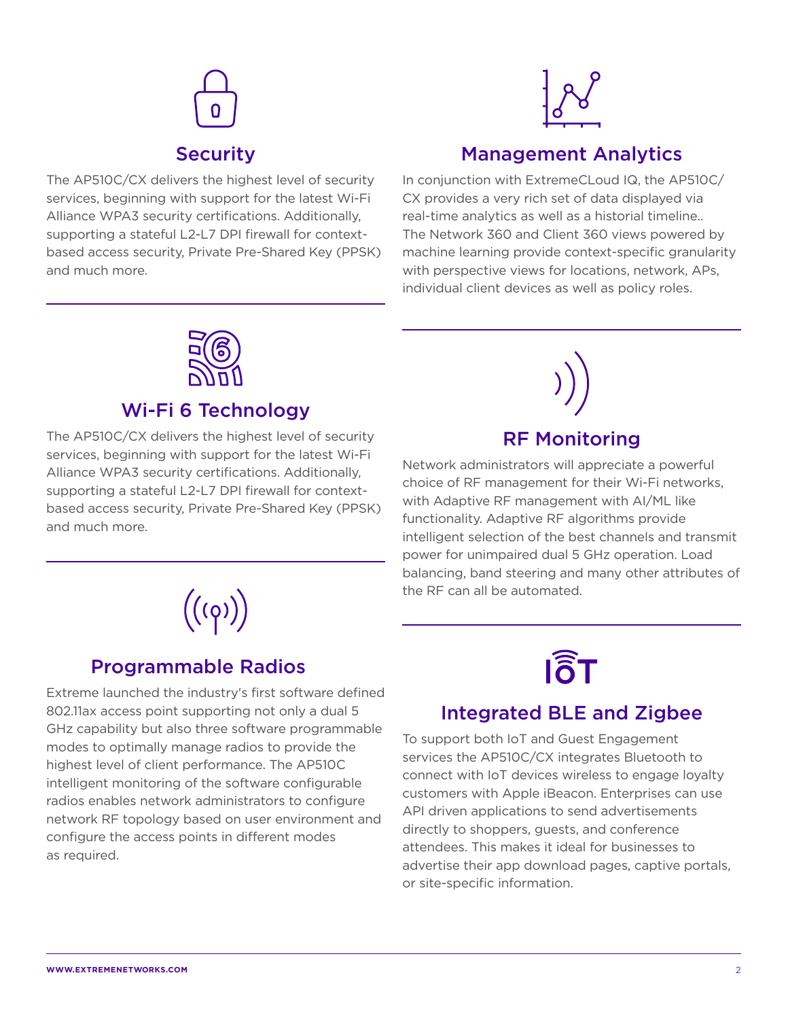

The AP510C/CX delivers the highest level of security services, beginning with support for the latest Wi-Fi Alliance WPA3 security certifications. Additionally, supporting a stateful L2-L7 DPI firewall for contextbased access security, Private Pre-Shared Key (PPSK) and much more.



### Management Analytics

In conjunction with ExtremeCLoud IQ, the AP510C/ CX provides a very rich set of data displayed via real-time analytics as well as a historial timeline.. The Network 360 and Client 360 views powered by machine learning provide context-specific granularity with perspective views for locations, network, APs, individual client devices as well as policy roles.



### Wi-Fi 6 Technology

The AP510C/CX delivers the highest level of security services, beginning with support for the latest Wi-Fi Alliance WPA3 security certifications. Additionally, supporting a stateful L2-L7 DPI firewall for contextbased access security, Private Pre-Shared Key (PPSK) and much more.



### Programmable Radios

Extreme launched the industry's first software defined 802.11ax access point supporting not only a dual 5 GHz capability but also three software programmable modes to optimally manage radios to provide the highest level of client performance. The AP510C intelligent monitoring of the software configurable radios enables network administrators to configure network RF topology based on user environment and configure the access points in different modes as required.



Network administrators will appreciate a powerful choice of RF management for their Wi-Fi networks, with Adaptive RF management with AI/ML like functionality. Adaptive RF algorithms provide intelligent selection of the best channels and transmit power for unimpaired dual 5 GHz operation. Load balancing, band steering and many other attributes of the RF can all be automated.

# **I** $\widehat{\delta}$ T

### Integrated BLE and Zigbee

To support both IoT and Guest Engagement services the AP510C/CX integrates Bluetooth to connect with IoT devices wireless to engage loyalty customers with Apple iBeacon. Enterprises can use API driven applications to send advertisements directly to shoppers, guests, and conference attendees. This makes it ideal for businesses to advertise their app download pages, captive portals, or site-specific information.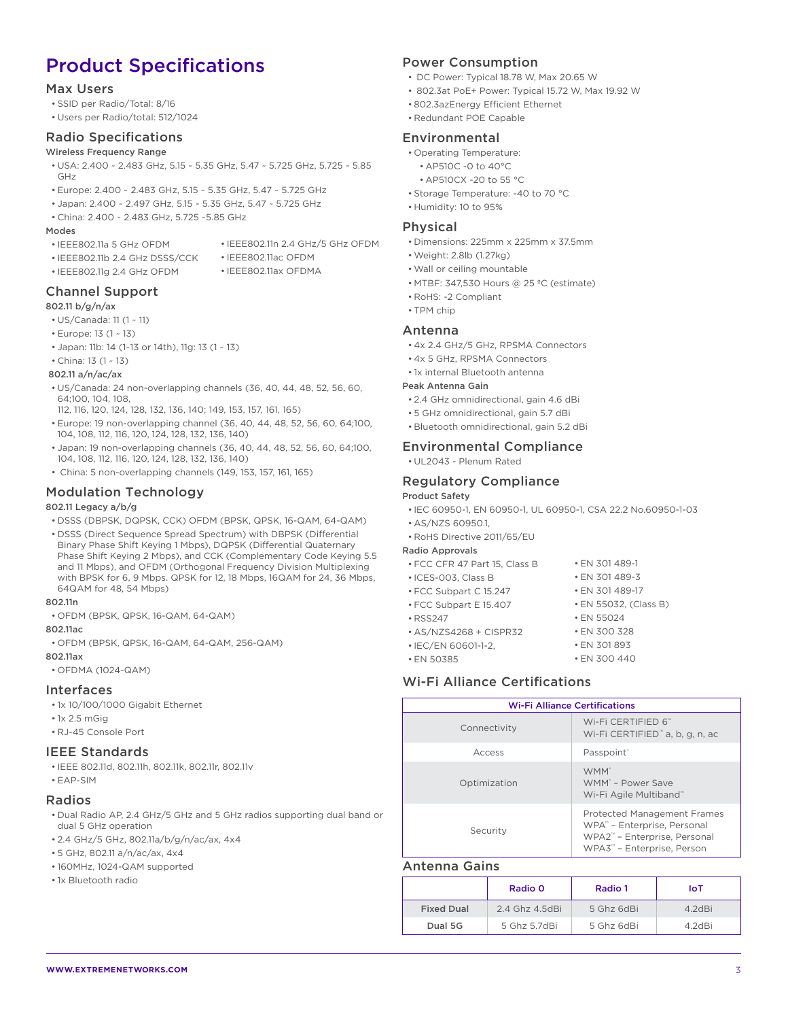## Product Specifications

#### Max Users

- SSID per Radio/Total: 8/16
- Users per Radio/total: 512/1024

#### Radio Specifications

#### Wireless Frequency Range

- USA: 2.400 ~ 2.483 GHz, 5.15 ~ 5.35 GHz, 5.47 ~ 5.725 GHz, 5.725 ~ 5.85 GHz
- Europe: 2.400 ~ 2.483 GHz, 5.15 ~ 5.35 GHz, 5.47 ~ 5.725 GHz
- Japan: 2.400 ~ 2.497 GHz, 5.15 ~ 5.35 GHz, 5.47 ~ 5.725 GHz
- China: 2.400 ~ 2.483 GHz, 5.725 ~5.85 GHz

#### Modes

- IEEE802.11a 5 GHz OFDM
- IEEE802.11n 2.4 GHz/5 GHz OFDM • IEEE802.11ac OFDM

• IEEE802.11ax OFDMA

- IEEE802.11b 2.4 GHz DSSS/CCK
- IEEE802.11g 2.4 GHz OFDM

#### Channel Support

#### 802.11 b/g/n/ax

- US/Canada: 11 (1 ~ 11)
- Europe: 13 (1 ~ 13)
- Japan: 11b: 14 (1~13 or 14th), 11g: 13 (1 ~ 13)
- China: 13 (1 ~ 13)

#### 802.11 a/n/ac/ax

- US/Canada: 24 non-overlapping channels (36, 40, 44, 48, 52, 56, 60, 64;100, 104, 108,
- 112, 116, 120, 124, 128, 132, 136, 140; 149, 153, 157, 161, 165)
- Europe: 19 non-overlapping channel (36, 40, 44, 48, 52, 56, 60, 64;100, 104, 108, 112, 116, 120, 124, 128, 132, 136, 140)
- Japan: 19 non-overlapping channels (36, 40, 44, 48, 52, 56, 60, 64;100, 104, 108, 112, 116, 120, 124, 128, 132, 136, 140)
- China: 5 non-overlapping channels (149, 153, 157, 161, 165)

#### Modulation Technology

#### 802.11 Legacy a/b/g

- DSSS (DBPSK, DQPSK, CCK) OFDM (BPSK, QPSK, 16-QAM, 64-QAM)
- DSSS (Direct Sequence Spread Spectrum) with DBPSK (Differential Binary Phase Shift Keying 1 Mbps), DQPSK (Differential Quaternary Phase Shift Keying 2 Mbps), and CCK (Complementary Code Keying 5.5 and 11 Mbps), and OFDM (Orthogonal Frequency Division Multiplexing with BPSK for 6, 9 Mbps. QPSK for 12, 18 Mbps, 16QAM for 24, 36 Mbps, 64QAM for 48, 54 Mbps)

### 802.11n

• OFDM (BPSK, QPSK, 16-QAM, 64-QAM)

#### 802.11ac

• OFDM (BPSK, QPSK, 16-QAM, 64-QAM, 256-QAM)

#### 802.11ax

• OFDMA (1024-QAM)

#### Interfaces

- 1x 10/100/1000 Gigabit Ethernet
- 1x 2.5 mGig
- RJ-45 Console Port

#### IEEE Standards

- IEEE 802.11d, 802.11h, 802.11k, 802.11r, 802.11v
- EAP-SIM

#### Radios

- Dual Radio AP, 2.4 GHz/5 GHz and 5 GHz radios supporting dual band or dual 5 GHz operation
- 2.4 GHz/5 GHz, 802.11a/b/g/n/ac/ax, 4x4
- 5 GHz, 802.11 a/n/ac/ax, 4x4
- 160MHz, 1024-QAM supported
- 1x Bluetooth radio

#### Power Consumption

- DC Power: Typical 18.78 W, Max 20.65 W
- 802.3at PoE+ Power: Typical 15.72 W, Max 19.92 W
- 802.3azEnergy Efficient Ethernet
- Redundant POE Capable

#### Environmental

- Operating Temperature:
- AP510C -0 to 40°C
- AP510CX -20 to 55 °C
- Storage Temperature: -40 to 70 °C
- Humidity: 10 to 95%

#### Physical

- Dimensions: 225mm x 225mm x 37.5mm
- Weight: 2.8lb (1.27kg)
- Wall or ceiling mountable
- MTBF: 347,530 Hours @ 25 ºC (estimate)
- RoHS: -2 Compliant
- TPM chip

#### Antenna

- 4x 2.4 GHz/5 GHz, RPSMA Connectors
- 4x 5 GHz, RPSMA Connectors
- 1x internal Bluetooth antenna

#### Peak Antenna Gain

- 2.4 GHz omnidirectional, gain 4.6 dBi
- 5 GHz omnidirectional, gain 5.7 dBi
- Bluetooth omnidirectional, gain 5.2 dBi

#### Environmental Compliance

• UL2043 - Plenum Rated

#### Regulatory Compliance

#### Product Safety

- IEC 60950-1, EN 60950-1, UL 60950-1, CSA 22.2 No.60950-1-03
- AS/NZS 60950.1,
- RoHS Directive 2011/65/EU

#### Radio Approvals

- FCC CFR 47 Part 15, Class B
- ICES-003, Class B
- FCC Subpart C 15.247 • FCC Subpart E 15.407
- RSS247
- AS/NZS4268 + CISPR32
- IEC/EN 60601-1-2,
- EN 50385

#### Wi-Fi Alliance Certifications

| <b>Wi-Fi Alliance Certifications</b> |                                                                                                                                                         |
|--------------------------------------|---------------------------------------------------------------------------------------------------------------------------------------------------------|
| Connectivity                         | Wi-Fi CERTIFIED 6 <sup>™</sup><br>Wi-Fi CERTIFIED <sup>™</sup> a, b, g, n, ac                                                                           |
| Access                               | Passpoint <sup>®</sup>                                                                                                                                  |
| Optimization                         | WMM <sup>*</sup><br>WMM <sup>*</sup> - Power Save<br>Wi-Fi Agile Multiband™                                                                             |
| Security                             | <b>Protected Management Frames</b><br>WPA" - Enterprise, Personal<br>WPA2 <sup>"</sup> - Enterprise, Personal<br>WPA3 <sup>™</sup> - Enterprise, Person |

#### Antenna Gains

|                   | Radio 0       | Radio 1    | IoT     |
|-------------------|---------------|------------|---------|
| <b>Fixed Dual</b> | 24 Ghz 4 5dBi | 5 Ghz 6dBi | 4 2 dBi |
| Dual 5G           | 5 Ghz 5 7dBi  | 5 Ghz 6dBi | 4 2dBi  |

- EN 55032, (Class B) • EN 55024 • EN 300 328 • EN 301 893 • EN 300 440
- EN 301 489-3 • EN 301 489-17

• EN 301 489-1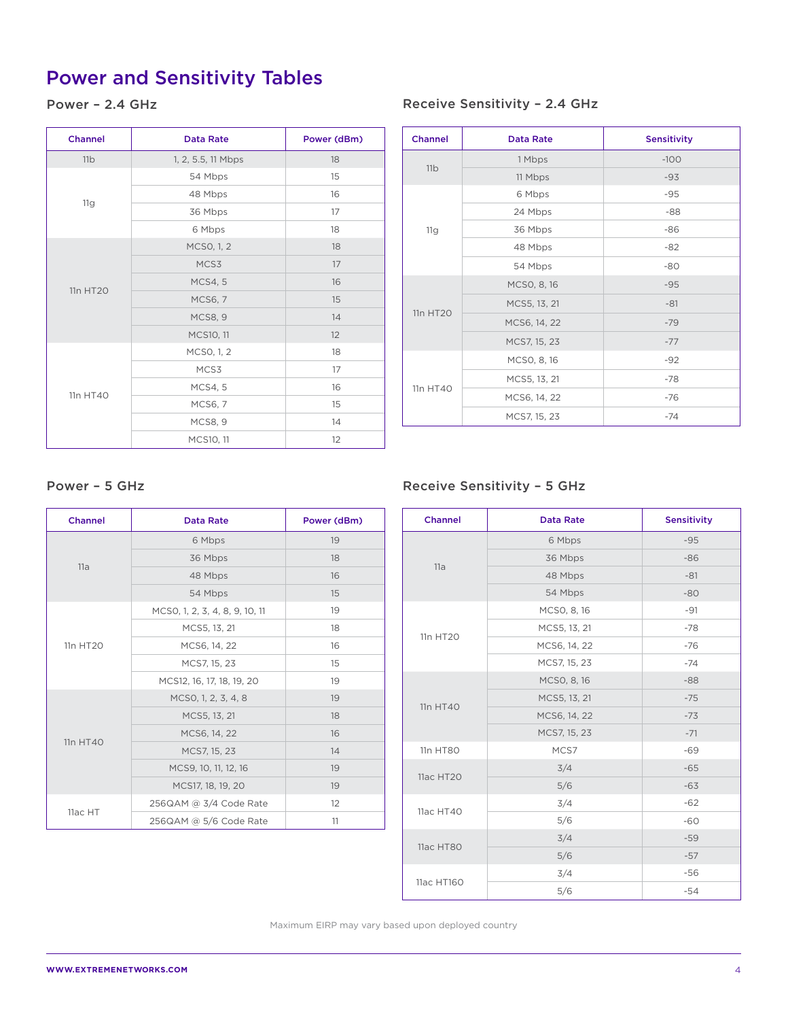## Power and Sensitivity Tables

### Power – 2.4 GHz

| <b>Channel</b> | <b>Data Rate</b>   | Power (dBm) |
|----------------|--------------------|-------------|
| 11b            | 1, 2, 5.5, 11 Mbps | 18          |
| 11g            | 54 Mbps            | 15          |
|                | 48 Mbps            | 16          |
|                | 36 Mbps            | 17          |
|                | 6 Mbps             | 18          |
| 11n HT20       | MCSO, 1, 2         | 18          |
|                | MCS3               | 17          |
|                | <b>MCS4, 5</b>     | 16          |
|                | <b>MCS6, 7</b>     | 15          |
|                | <b>MCS8, 9</b>     | 14          |
|                | MCS10, 11          | 12          |
|                | MCSO, 1, 2         | 18          |
| 11n HT40       | MCS3               | 17          |
|                | <b>MCS4, 5</b>     | 16          |
|                | <b>MCS6, 7</b>     | 15          |
|                | <b>MCS8, 9</b>     | 14          |
|                | MCS10, 11          | 12          |

#### Receive Sensitivity – 2.4 GHz

| <b>Channel</b> | <b>Data Rate</b> | <b>Sensitivity</b> |
|----------------|------------------|--------------------|
| 11b            | 1 Mbps           | $-100$             |
|                | 11 Mbps          | $-93$              |
| 11g            | 6 Mbps           | $-95$              |
|                | 24 Mbps          | $-88$              |
|                | 36 Mbps          | $-86$              |
|                | 48 Mbps          | $-82$              |
|                | 54 Mbps          | $-80$              |
| 11n HT20       | MCSO, 8, 16      | $-95$              |
|                | MCS5, 13, 21     | $-81$              |
|                | MCS6, 14, 22     | $-79$              |
|                | MCS7, 15, 23     | $-77$              |
| 11n HT40       | MCSO, 8, 16      | $-92$              |
|                | MCS5, 13, 21     | $-78$              |
|                | MCS6, 14, 22     | $-76$              |
|                | MCS7, 15, 23     | $-74$              |

| <b>Channel</b> | <b>Data Rate</b>               | Power (dBm) |
|----------------|--------------------------------|-------------|
|                | 6 Mbps                         | 19          |
|                | 36 Mbps                        | 18          |
| 11a            | 48 Mbps                        | 16          |
|                | 54 Mbps                        | 15          |
|                | MCSO, 1, 2, 3, 4, 8, 9, 10, 11 | 19          |
|                | MCS5, 13, 21                   | 18          |
| 11n HT20       | MCS6, 14, 22                   | 16          |
|                | MCS7, 15, 23                   | 15          |
|                | MCS12, 16, 17, 18, 19, 20      | 19          |
| 11n HT40       | MCSO, 1, 2, 3, 4, 8            | 19          |
|                | MCS5, 13, 21                   | 18          |
|                | MCS6, 14, 22                   | 16          |
|                | MCS7, 15, 23                   | 14          |
|                | MCS9, 10, 11, 12, 16           | 19          |
|                | MCS17, 18, 19, 20              | 19          |
|                | 256QAM @ 3/4 Code Rate         | 12          |
| 11ac HT        | 256QAM @ 5/6 Code Rate         | 11          |

### Power – 5 GHz Receive Sensitivity – 5 GHz

| <b>Channel</b> | <b>Data Rate</b> | <b>Sensitivity</b> |
|----------------|------------------|--------------------|
|                | 6 Mbps           | $-95$              |
|                | 36 Mbps          | $-86$              |
| 11a            | 48 Mbps          | $-81$              |
|                | 54 Mbps          | $-80$              |
|                | MCSO, 8, 16      | $-91$              |
| 11n HT20       | MCS5, 13, 21     | $-78$              |
|                | MCS6, 14, 22     | $-76$              |
|                | MCS7, 15, 23     | $-74$              |
|                | MCSO, 8, 16      | $-88$              |
| 11n HT40       | MCS5, 13, 21     | $-75$              |
|                | MCS6, 14, 22     | $-73$              |
|                | MCS7, 15, 23     | $-71$              |
| 11n HT80       | MCS7             | $-69$              |
| 11ac HT20      | 3/4              | $-65$              |
|                | 5/6              | $-63$              |
| 11ac HT40      | 3/4              | $-62$              |
|                | 5/6              | $-60$              |
| 11ac HT80      | 3/4              | $-59$              |
|                | 5/6              | $-57$              |
|                | 3/4              | $-56$              |
| 11ac HT160     | 5/6              | $-54$              |

Maximum EIRP may vary based upon deployed country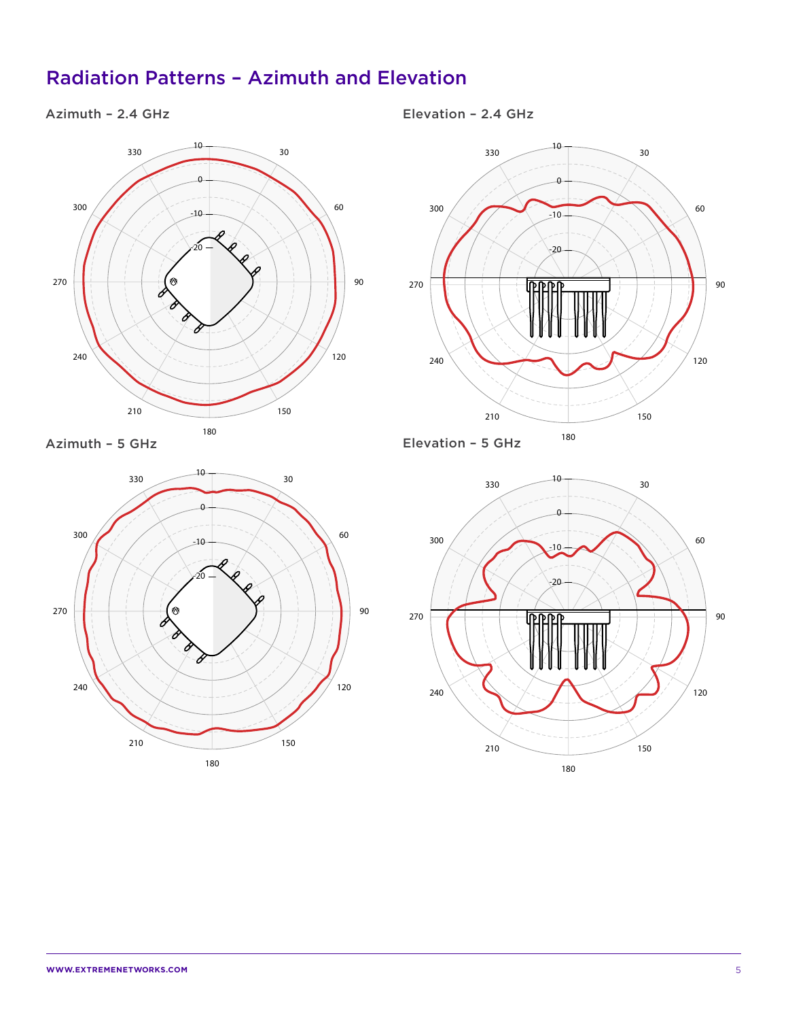### Radiation Patterns – Azimuth and Elevation

### Azimuth – 2.4 GHz



Azimuth – 5 GHz



Elevation – 2.4 GHz